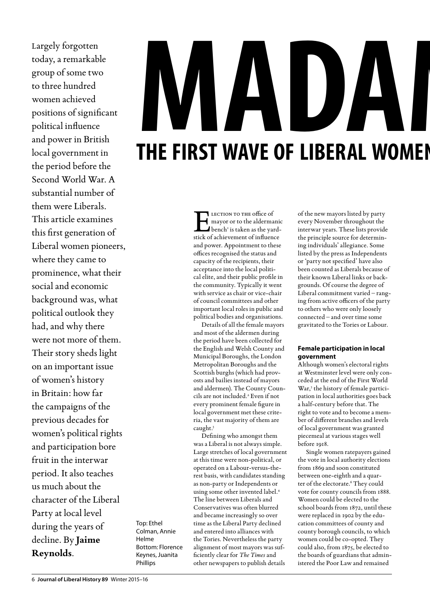Largely forgotten today, a remarkable group of some two to three hundred women achieved positions of significant political influence and power in British local government in the period before the Second World War. A substantial number of them were Liberals. This article examines this first generation of Liberal women pioneers, where they came to prominence, what their social and economic background was, what political outlook they had, and why there were not more of them. Their story sheds light on an important issue of women's history in Britain: how far the campaigns of the previous decades for women's political rights and participation bore fruit in the interwar period. It also teaches us much about the character of the Liberal Party at local level during the years of decline. By **Jaime Reynolds**.

Top: Ethel Colman, Annie Helme Bottom: Florence Keynes, Juanita Phillips

### **T HE FIRST W AVE O F LIBERA L WOM** THE FIRST WAVE O **D A** LECTION TO THE office of mayor or to the aldermanic bench<sup>1</sup> is taken as the yardstick of achievement of influence and power. Appointment to these offices recognised the status and capacity of the recipients, their acceptance into the local politi-

cal elite, and their public profile in the community. Typically it went with service as chair or vice-chair of council committees and other important local roles in public and political bodies and organisations.

Details of all the female mayors and most of the aldermen during the period have been collected for the English and Welsh County and Municipal Boroughs, the London Metropolitan Boroughs and the Scottish burghs (which had provosts and bailies instead of mayors and aldermen). The County Councils are not included.2 Even if not every prominent female figure in local government met these criteria, the vast majority of them are caught.3

Defining who amongst them was a Liberal is not always simple. Large stretches of local government at this time were non-political, or operated on a Labour-versus-therest basis, with candidates standing as non-party or Independents or using some other invented label.4 The line between Liberals and Conservatives was often blurred and became increasingly so over time as the Liberal Party declined and entered into alliances with the Tories. Nevertheless the party alignment of most mayors was sufficiently clear for *The Times* and other newspapers to publish details

of the new mayors listed by party every November throughout the interwar years. These lists provide the principle source for determining individuals' allegiance. Some listed by the press as Independents or 'party not specified' have also been counted as Liberals because of their known Liberal links or backgrounds. Of course the degree of Liberal commitment varied – ranging from active officers of the party to others who were only loosely connected – and over time some gravitated to the Tories or Labour.

**MEN** 

**EN IN LOCAL GOVERNM**

### **Female participation in local government**

Although women's electoral rights at Westminster level were only conceded at the end of the First World War,<sup>5</sup> the history of female participation in local authorities goes back a half-century before that. The right to vote and to become a member of different branches and levels of local government was granted piecemeal at various stages well before 1918.

Single women ratepayers gained the vote in local authority elections from 1869 and soon constituted between one-eighth and a quarter of the electorate.<sup>6</sup> They could vote for county councils from 1888. Women could be elected to the school boards from 1872, until these were replaced in 1902 by the education committees of county and county borough councils, to which women could be co-opted. They could also, from 1875, be elected to the boards of guardians that administered the Poor Law and remained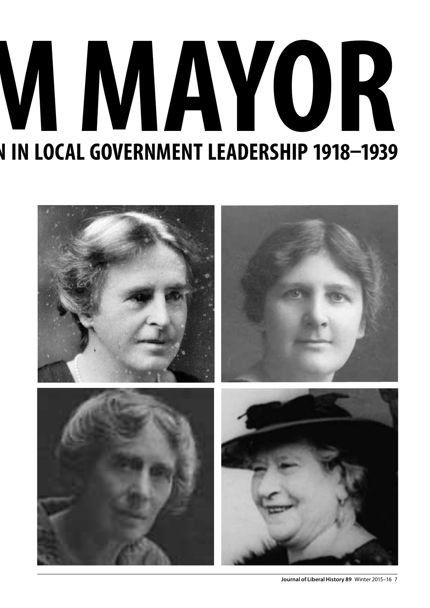# **MM K IN LOCAL GOVERNMENT LEADERSHIP 1918–1939**

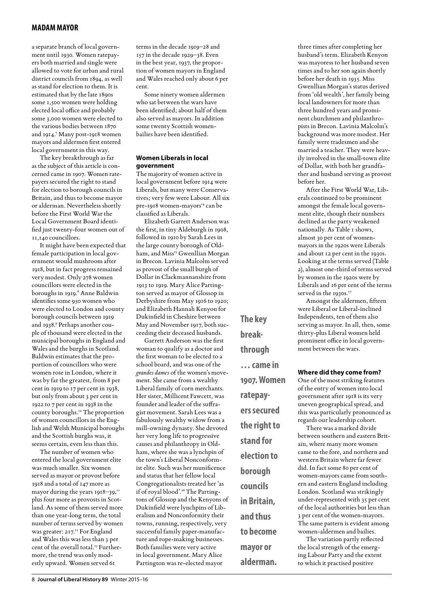a separate branch of local government until 1930. Women ratepayers both married and single were allowed to vote for urban and rural district councils from 1894, as well as stand for election to them. It is estimated that by the late 1890s some 1,500 women were holding elected local office and probably some 3,000 women were elected to the various bodies between 1870 and 1914.7 Many post-1918 women mayors and aldermen first entered local government in this way.

The key breakthrough as far as the subject of this article is concerned came in 1907. Women ratepayers secured the right to stand for election to borough councils in Britain, and thus to become mayor or alderman. Nevertheless shortly before the First World War the Local Government Board identified just twenty-four women out of 11,140 councillors.

It might have been expected that female participation in local government would mushroom after 1918, but in fact progress remained very modest. Only 278 women councillors were elected in the boroughs in 1919.<sup>8</sup> Anne Baldwin identifies some 950 women who were elected to London and county borough councils between 1919 and 1938.9 Perhaps another couple of thousand were elected in the municipal boroughs in England and Wales and the burghs in Scotland. Baldwin estimates that the proportion of councillors who were women rose in London, where it was by far the greatest, from 8 per cent in 1919 to 17 per cent in 1938, but only from about 3 per cent in 1922 to 7 per cent in 1938 in the county boroughs.10 The proportion of women councillors in the English and Welsh Municipal boroughs and the Scottish burghs was, it seems certain, even less than this.

The number of women who entered the local government elite was much smaller. Six women served as mayor or provost before 1918 and a total of 147 more as mayor during the years 1918-39,<sup>11</sup> plus four more as provosts in Scotland. As some of them served more than one year-long term, the total number of terms served by women was greater: 217.<sup>12</sup> For England and Wales this was less than 3 per cent of the overall total.<sup>13</sup> Furthermore, the trend was only modestly upward. Women served 61

terms in the decade 1919–28 and 157 in the decade 1929–38. Even in the best year, 1937, the proportion of women mayors in England and Wales reached only about 6 per cent.

Some ninety women aldermen who sat between the wars have been identified; about half of them also served as mayors. In addition some twenty Scottish womenbailies have been identified.

### **Women Liberals in local government**

The majority of women active in local government before 1914 were Liberals, but many were Conservatives; very few were Labour. All six pre-1918 women-mayors<sup>14</sup> can be classified as Liberals.

Elizabeth Garrett Anderson was the first, in tiny Aldeburgh in 1908, followed in 1910 by Sarah Lees in the large county borough of Oldham, and Miss<sup>15</sup> Gwenllian Morgan in Brecon. Lavinia Malcolm served as provost of the small burgh of Dollar in Clackmannanshire from 1913 to 1919. Mary Alice Partington served as mayor of Glossop in Derbyshire from May 1916 to 1920; and Elizabeth Hannah Kenyon for Dukinfield in Cheshire between May and November 1917, both succeeding their deceased husbands.

Garrett Anderson was the first woman to qualify as a doctor and the first woman to be elected to a school board, and was one of the *grandes dames* of the women's movement. She came from a wealthy Liberal family of corn merchants. Her sister, Millicent Fawcett, was founder and leader of the suffragist movement. Sarah Lees was a fabulously wealthy widow from a mill-owning dynasty. She devoted her very long life to progressive causes and philanthropy in Oldham, where she was a lynchpin of the town's Liberal Nonconformist elite. Such was her munificence and status that her fellow local Congregationalists treated her 'as if of royal blood'.16 The Partingtons of Glossop and the Kenyons of Dukinfield were lynchpins of Liberalism and Nonconformity their towns, running, respectively, very successful family paper-manufacture and rope-making businesses. Both families were very active in local government. Mary Alice Partington was re-elected mayor

**The key breakthrough … came in 1907. Women ratepayers secured the right to stand for election to borough councils in Britain, and thus to become mayor or alderman.**

three times after completing her husband's term. Elizabeth Kenyon was mayoress to her husband seven times and to her son again shortly before her death in 1935. Miss Gwenllian Morgan's status derived from 'old wealth', her family being local landowners for more than three hundred years and prominent churchmen and philanthropists in Brecon. Lavinia Malcolm's background was more modest. Her family were tradesmen and she married a teacher. They were heavily involved in the small-town elite of Dollar, with both her grandfather and husband serving as provost before her.

After the First World War, Liberals continued to be prominent amongst the female local government elite, though their numbers declined as the party weakened nationally. As Table 1 shows, almost 30 per cent of womenmayors in the 1920s were Liberals and about 12 per cent in the 1930s. Looking at the terms served (Table 2), almost one-third of terms served by women in the 1920s were by Liberals and 16 per cent of the terms served in the 1930s.<sup>17</sup>

Amongst the aldermen, fifteen were Liberal or Liberal-inclined Independents, ten of them also serving as mayor. In all, then, some thirty-plus Liberal women held prominent office in local government between the wars.

### **Where did they come from?**

One of the most striking features of the entry of women into local government after 1918 is its very uneven geographical spread, and this was particularly pronounced as regards our leadership cohort.

There was a marked divide between southern and eastern Britain, where many more women came to the fore, and northern and western Britain where far fewer did. In fact some 80 per cent of women-mayors came from southern and eastern England including London. Scotland was strikingly under-represented with 35 per cent of the local authorities but less than 3 per cent of the women-mayors. The same pattern is evident among women-aldermen and bailies.

The variation partly reflected the local strength of the emerging Labour Party and the extent to which it practised positive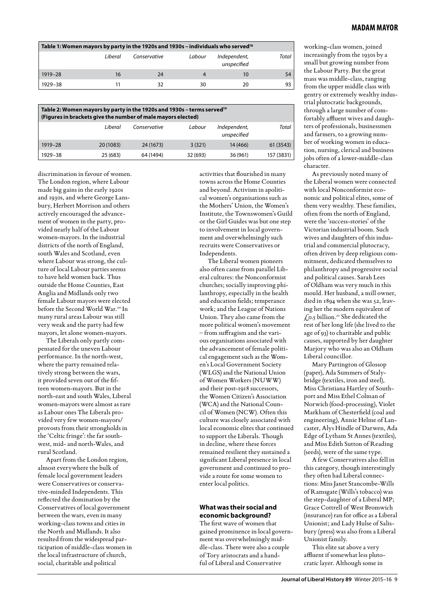| Table 1: Women mayors by party in the 1920s and 1930s – individuals who served <sup>18</sup> |          |              |        |                             |       |  |  |
|----------------------------------------------------------------------------------------------|----------|--------------|--------|-----------------------------|-------|--|--|
|                                                                                              | l iberal | Conservative | Labour | Independent,<br>unspecified | Total |  |  |
| 1919-28                                                                                      | 16       | 24           | 4      | 10                          | 54    |  |  |
| 1929-38                                                                                      |          |              | 30     | 20                          | 93    |  |  |

| Table 2: Women mayors by party in the 1920s and 1930s - terms served <sup>19</sup><br>(Figures in brackets give the number of male mayors elected) |           |              |          |                             |            |  |  |  |
|----------------------------------------------------------------------------------------------------------------------------------------------------|-----------|--------------|----------|-----------------------------|------------|--|--|--|
|                                                                                                                                                    | l iberal  | Conservative | Labour   | Independent,<br>unspecified | Total      |  |  |  |
| 1919-28                                                                                                                                            | 20 (1083) | 24 (1673)    | 3(321)   | 14 (466)                    | 61 (3543)  |  |  |  |
| 1929-38                                                                                                                                            | 25 (683)  | 64 (1494)    | 32 (693) | 36 (961)                    | 157 (3831) |  |  |  |

discrimination in favour of women. The London region, where Labour made big gains in the early 1920s and 1930s, and where George Lansbury, Herbert Morrison and others actively encouraged the advancement of women in the party, provided nearly half of the Labour women-mayors. In the industrial districts of the north of England, south Wales and Scotland, even where Labour was strong, the culture of local Labour parties seems to have held women back. Thus outside the Home Counties, East Anglia and Midlands only two female Labour mayors were elected before the Second World War.20 In many rural areas Labour was still very weak and the party had few mayors, let alone women-mayors.

The Liberals only partly compensated for the uneven Labour performance. In the north-west, where the party remained relatively strong between the wars, it provided seven out of the fifteen women-mayors. But in the north-east and south Wales, Liberal women-mayors were almost as rare as Labour ones The Liberals provided very few women-mayors/ provosts from their strongholds in the 'Celtic fringe': the far southwest, mid- and north-Wales, and rural Scotland.

Apart from the London region, almost everywhere the bulk of female local government leaders were Conservatives or conservative-minded Independents. This reflected the domination by the Conservatives of local government between the wars, even in many working-class towns and cities in the North and Midlands. It also resulted from the widespread participation of middle-class women in the local infrastructure of church, social, charitable and political

activities that flourished in many towns across the Home Counties and beyond. Activism in apolitical women's organisations such as the Mothers' Union, the Women's Institute, the Townswomen's Guild or the Girl Guides was but one step to involvement in local government and overwhelmingly such recruits were Conservatives or Independents.

The Liberal women pioneers also often came from parallel Liberal cultures: the Nonconformist churches; socially improving philanthropy, especially in the health and education fields; temperance work; and the League of Nations Union. They also came from the more political women's movement – from suffragism and the various organisations associated with the advancement of female political engagement such as the Women's Local Government Society (WLGS) and the National Union of Women Workers (NUWW) and their post-1918 successors, the Women Citizen's Association (WCA) and the National Council of Women (NCW). Often this culture was closely associated with local economic elites that continued to support the Liberals. Though in decline, where these forces remained resilient they sustained a significant Liberal presence in local government and continued to provide a route for some women to enter local politics.

### **What was their social and economic background?**

The first wave of women that gained prominence in local government was overwhelmingly middle-class. There were also a couple of Tory aristocrats and a handful of Liberal and Conservative

working-class women, joined increasingly from the 1930s by a small but growing number from the Labour Party. But the great mass was middle-class, ranging from the upper middle class with gentry or extremely wealthy industrial plutocratic backgrounds, through a large number of comfortably affluent wives and daughters of professionals, businessmen and farmers, to a growing number of working women in education, nursing, clerical and business jobs often of a lower-middle-class character.

As previously noted many of the Liberal women were connected with local Nonconformist economic and political elites, some of them very wealthy. These families, often from the north of England, were the 'success-stories' of the Victorian industrial boom. Such wives and daughters of this industrial and commercial plutocracy, often driven by deep religious commitment, dedicated themselves to philanthropy and progressive social and political causes. Sarah Lees of Oldham was very much in this mould. Her husband, a mill owner, died in 1894 when she was 52, leaving her the modern equivalent of  $f_{0.5}$  billion.<sup>21</sup> She dedicated the rest of her long life (she lived to the age of 93) to charitable and public causes, supported by her daughter Marjory who was also an Oldham Liberal councillor.

Mary Partington of Glossop (paper), Ada Summers of Stalybridge (textiles, iron and steel), Miss Christiana Hartley of Southport and Miss Ethel Colman of Norwich (food-processing), Violet Markham of Chesterfield (coal and engineering), Annie Helme of Lancaster, Alys Hindle of Darwen, Ada Edge of Lytham St Annes (textiles), and Miss Edith Sutton of Reading (seeds), were of the same type.

A few Conservatives also fell in this category, though interestingly they often had Liberal connections: Miss Janet Stancombe-Wills of Ramsgate (Wills's tobacco) was the step-daughter of a Liberal MP; Grace Cottrell of West Bromwich (insurance) ran for office as a Liberal Unionist; and Lady Hulse of Salisbury (press) was also from a Liberal Unionist family.

This elite sat above a very affluent if somewhat less plutocratic layer. Although some in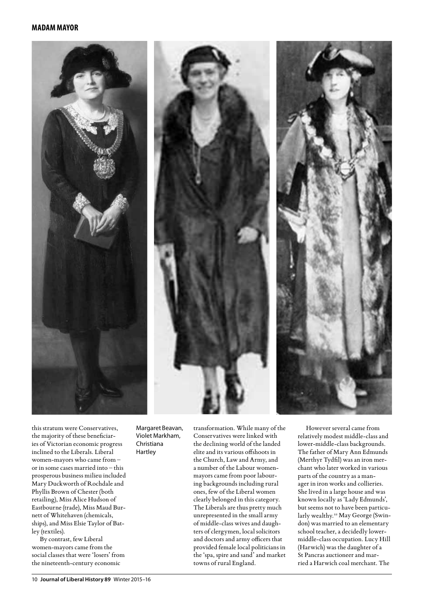





this stratum were Conservatives, the majority of these beneficiaries of Victorian economic progress inclined to the Liberals. Liberal women-mayors who came from – or in some cases married into – this prosperous business milieu included Mary Duckworth of Rochdale and Phyllis Brown of Chester (both retailing), Miss Alice Hudson of Eastbourne (trade), Miss Maud Burnett of Whitehaven (chemicals, ships), and Miss Elsie Taylor of Batley (textiles).

By contrast, few Liberal women-mayors came from the social classes that were 'losers' from the nineteenth-century economic

Margaret Beavan, Violet Markham, Christiana Hartley

transformation. While many of the Conservatives were linked with the declining world of the landed elite and its various offshoots in the Church, Law and Army, and a number of the Labour womenmayors came from poor labouring backgrounds including rural ones, few of the Liberal women clearly belonged in this category. The Liberals are thus pretty much unrepresented in the small army of middle-class wives and daughters of clergymen, local solicitors and doctors and army officers that provided female local politicians in the 'spa, spire and sand' and market towns of rural England.

However several came from relatively modest middle-class and lower-middle-class backgrounds. The father of Mary Ann Edmunds (Merthyr Tydfil) was an iron merchant who later worked in various parts of the country as a manager in iron works and collieries. She lived in a large house and was known locally as 'Lady Edmunds', but seems not to have been particularly wealthy.<sup>22</sup> May George (Swindon) was married to an elementary school teacher, a decidedly lowermiddle-class occupation. Lucy Hill (Harwich) was the daughter of a St Pancras auctioneer and married a Harwich coal merchant. The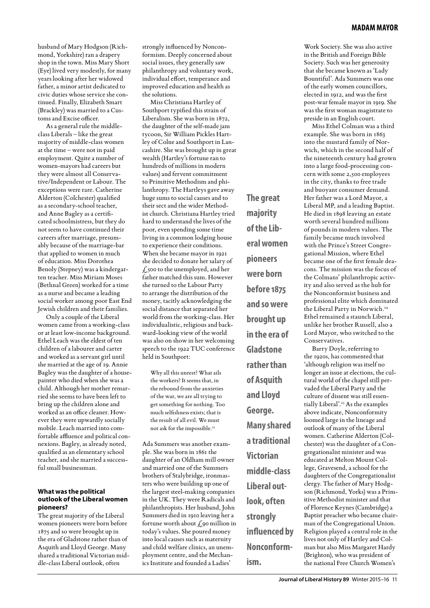husband of Mary Hodgson (Richmond, Yorkshire) ran a drapery shop in the town. Miss Mary Short (Eye) lived very modestly, for many years looking after her widowed father, a minor artist dedicated to civic duties whose service she continued. Finally, Elizabeth Smart (Brackley) was married to a Customs and Excise officer.

As a general rule the middleclass Liberals – like the great majority of middle-class women at the time – were not in paid employment. Quite a number of women-mayors had careers but they were almost all Conservative/Independent or Labour. The exceptions were rare. Catherine Alderton (Colchester) qualified as a secondary-school teacher, and Anne Bagley as a certificated schoolmistress, but they do not seem to have continued their careers after marriage, presumably because of the marriage-bar that applied to women in much of education. Miss Dorothea Benoly (Stepney) was a kindergarten teacher. Miss Miriam Moses (Bethnal Green) worked for a time as a nurse and became a leading social worker among poor East End Jewish children and their families.

Only a couple of the Liberal women came from a working-class or at least low-income background. Ethel Leach was the eldest of ten children of a labourer and carter and worked as a servant girl until she married at the age of 19. Annie Bagley was the daughter of a housepainter who died when she was a child. Although her mother remarried she seems to have been left to bring up the children alone and worked as an office cleaner. However they were upwardly socially mobile. Leach married into comfortable affluence and political connexions. Bagley, as already noted, qualified as an elementary school teacher, and she married a successful small businessman.

### **What was the political outlook of the Liberal women pioneers?**

The great majority of the Liberal women pioneers were born before 1875 and so were brought up in the era of Gladstone rather than of Asquith and Lloyd George. Many shared a traditional Victorian middle-class Liberal outlook, often

strongly influenced by Nonconformism. Deeply concerned about social issues, they generally saw philanthropy and voluntary work, individual effort, temperance and improved education and health as the solutions.

Miss Christiana Hartley of Southport typified this strain of Liberalism. She was born in 1872, the daughter of the self-made jam tycoon, Sir William Pickles Hartley of Colne and Southport in Lancashire. She was brought up in great wealth (Hartley's fortune ran to hundreds of millions in modern values) and fervent commitment to Primitive Methodism and philanthropy. The Hartleys gave away huge sums to social causes and to their sect and the wider Methodist church. Christiana Hartley tried hard to understand the lives of the poor, even spending some time living in a common lodging house to experience their conditions. When she became mayor in 1921 she decided to donate her salary of  $f_{.500}$  to the unemployed, and her father matched this sum. However she turned to the Labour Party to arrange the distribution of the money, tacitly acknowledging the social distance that separated her world from the working-class. Her individualistic, religious and backward-looking view of the world was also on show in her welcoming speech to the 1922 TUC conference held in Southport:

Why all this unrest? What ails the workers? It seems that, in the rebound from the anxieties of the war, we are all trying to get something for nothing. Too much selfishness exists; that is the result of all evil. We must not ask for the impossible.<sup>23</sup>

Ada Summers was another example. She was born in 1861 the daughter of an Oldham mill owner and married one of the Summers brothers of Stalybridge, ironmasters who were building up one of the largest steel-making companies in the UK. They were Radicals and philanthropists. Her husband, John Summers died in 1910 leaving her a fortune worth about  $\zeta$ 90 million in today's values. She poured money into local causes such as maternity and child welfare clinics, an unemployment centre, and the Mechanics Institute and founded a Ladies'

**The great majority of the Liberal women pioneers were born before 1875 and so were brought up in the era of Gladstone rather than of Asquith and Lloyd George. Many shared a traditional Victorian middle-class Liberal outlook, often strongly influenced by Nonconform-**

**ism.** 

Work Society. She was also active in the British and Foreign Bible Society. Such was her generosity that she became known as 'Lady Bountiful'. Ada Summers was one of the early women councillors, elected in 1912, and was the first post-war female mayor in 1919. She was the first woman magistrate to preside in an English court.

Miss Ethel Colman was a third example. She was born in 1863 into the mustard family of Norwich, which in the second half of the nineteenth century had grown into a large food-processing concern with some 2,500 employees in the city, thanks to free trade and buoyant consumer demand. Her father was a Lord Mayor, a Liberal MP, and a leading Baptist. He died in 1898 leaving an estate worth several hundred millions of pounds in modern values. The family became much involved with the Prince's Street Congregational Mission, where Ethel became one of the first female deacons. The mission was the focus of the Colmans' philanthropic activity and also served as the hub for the Nonconformist business and professional elite which dominated the Liberal Party in Norwich.<sup>24</sup> Ethel remained a staunch Liberal, unlike her brother Russell, also a Lord Mayor, who switched to the Conservatives.

Barry Doyle, referring to the 1920s, has commented that 'although religion was itself no longer an issue at elections, the cultural world of the chapel still pervaded the Liberal Party and the culture of dissent was still essentially Liberal'.25 As the examples above indicate, Nonconformity loomed large in the lineage and outlook of many of the Liberal women. Catherine Alderton (Colchester) was the daughter of a Congregationalist minister and was educated at Melton Mount College, Gravesend, a school for the daughters of the Congregationalist clergy. The father of Mary Hodgson (Richmond, Yorks) was a Primitive Methodist minister and that of Florence Keynes (Cambridge) a Baptist preacher who became chairman of the Congregational Union. Religion played a central role in the lives not only of Hartley and Colman but also Miss Margaret Hardy (Brighton), who was president of the national Free Church Women's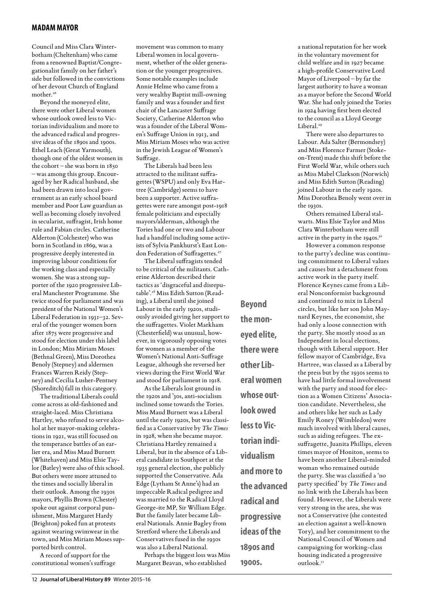Council and Miss Clara Winterbotham (Cheltenham) who came from a renowned Baptist/Congregationalist family on her father's side but followed in the convictions of her devout Church of England mother.<sup>26</sup>

Beyond the moneyed elite, there were other Liberal women whose outlook owed less to Victorian individualism and more to the advanced radical and progressive ideas of the 1890s and 1900s. Ethel Leach (Great Yarmouth), though one of the oldest women in the cohort – she was born in 1850 – was among this group. Encouraged by her Radical husband, she had been drawn into local government as an early school board member and Poor Law guardian as well as becoming closely involved in secularist, suffragist, Irish home rule and Fabian circles. Catherine Alderton (Colchester) who was born in Scotland in 1869, was a progressive deeply interested in improving labour conditions for the working class and especially women. She was a strong supporter of the 1920 progressive Liberal Manchester Programme. She twice stood for parliament and was president of the National Women's Liberal Federation in 1931–32. Several of the younger women born after 1875 were progressive and stood for election under this label in London; Miss Miriam Moses (Bethnal Green), Miss Dorothea Benoly (Stepney) and aldermen Frances Warren Reidy (Stepney) and Cecilia Lusher-Pentney (Shoreditch) fall in this category.

The traditional Liberals could come across as old-fashioned and straight-laced. Miss Christiana Hartley, who refused to serve alcohol at her mayor-making celebrations in 1921, was still focused on the temperance battles of an earlier era, and Miss Maud Burnett (Whitehaven) and Miss Elsie Taylor (Batley) were also of this school. But others were more attuned to the times and socially liberal in their outlook. Among the 1930s mayors, Phyllis Brown (Chester) spoke out against corporal punishment, Miss Margaret Hardy (Brighton) poked fun at protests against wearing swimwear in the town, and Miss Miriam Moses supported birth control.

A record of support for the constitutional women's suffrage movement was common to many Liberal women in local government, whether of the older generation or the younger progressives. Some notable examples include Annie Helme who came from a very wealthy Baptist mill-owning family and was a founder and first chair of the Lancaster Suffrage Society, Catherine Alderton who was a founder of the Liberal Women's Suffrage Union in 1913, and Miss Miriam Moses who was active in the Jewish League of Women's Suffrage.

The Liberals had been less attracted to the militant suffragettes (WSPU) and only Eva Hartree (Cambridge) seems to have been a supporter. Active suffragettes were rare amongst post-1918 female politicians and especially mayors/alderman, although the Tories had one or two and Labour had a handful including some activists of Sylvia Pankhurst's East London Federation of Suffragettes.<sup>27</sup>

The Liberal suffragists tended to be critical of the militants. Catherine Alderton described their tactics as 'disgraceful and disreputable'.28 Miss Edith Sutton (Reading), a Liberal until she joined Labour in the early 1920s, studiously avoided giving her support to the suffragettes. Violet Markham (Chesterfield) was unusual, however, in vigorously opposing votes for women as a member of the Women's National Anti-Suffrage League, although she reversed her views during the First World War and stood for parliament in 1918.

As the Liberals lost ground in the 1920s and '30s, anti-socialism inclined some towards the Tories. Miss Maud Burnett was a Liberal until the early 1920s, but was classified as a Conservative by *The Times* in 1928, when she became mayor. Christiana Hartley remained a Liberal, but in the absence of a Liberal candidate in Southport at the 1935 general election, she publicly supported the Conservative. Ada Edge (Lytham St Anne's) had an impeccable Radical pedigree and was married to the Radical Lloyd George-ite MP, Sir William Edge. But the family later became Liberal Nationals. Annie Bagley from Stretford where the Liberals and Conservatives fused in the 1930s was also a Liberal National.

Perhaps the biggest loss was Miss Margaret Beavan, who established

**Beyond the moneyed elite, there were other Liberal women whose outlook owed less to Victorian individualism and more to the advanced radical and progressive ideas of the 1890s and 1900s.**

a national reputation for her work in the voluntary movement for child welfare and in 1927 became a high-profile Conservative Lord Mayor of Liverpool – by far the largest authority to have a woman as a mayor before the Second World War. She had only joined the Tories in 1924 having first been elected to the council as a Lloyd George Liberal.<sup>29</sup>

There were also departures to Labour. Ada Salter (Bermondsey) and Miss Florence Farmer (Stokeon-Trent) made this shift before the First World War, while others such as Miss Mabel Clarkson (Norwich) and Miss Edith Sutton (Reading) joined Labour in the early 1920s. Miss Dorothea Benoly went over in the 1020s.

Others remained Liberal stalwarts. Miss Elsie Taylor and Miss Clara Winterbotham were still active in the party in the 1940s.<sup>30</sup>

However a common response to the party's decline was continuing commitment to Liberal values and causes but a detachment from active work in the party itself. Florence Keynes came from a Liberal Nonconformist background and continued to mix in Liberal circles, but like her son John Maynard Keynes, the economist, she had only a loose connection with the party. She mostly stood as an Independent in local elections, though with Liberal support. Her fellow mayor of Cambridge, Eva Hartree, was classed as a Liberal by the press but by the 1930s seems to have had little formal involvement with the party and stood for election as a Women Citizens' Association candidate. Nevertheless, she and others like her such as Lady Emily Roney (Wimbledon) were much involved with liberal causes, such as aiding refugees. The exsuffragette, Juanita Phillips, eleven times mayor of Honiton, seems to have been another Liberal-minded woman who remained outside the party. She was classified a 'no party specified' by *The Times* and no link with the Liberals has been found. However, the Liberals were very strong in the area, she was not a Conservative (she contested an election against a well-known Tory), and her commitment to the National Council of Women and campaigning for working-class housing indicated a progressive outlook.31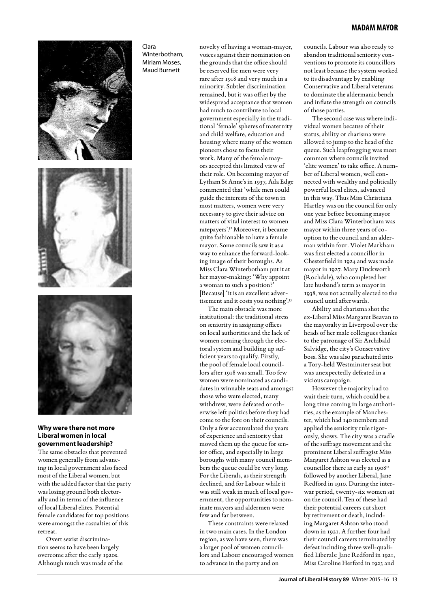

### **Why were there not more Liberal women in local government leadership?**

The same obstacles that prevented women generally from advancing in local government also faced most of the Liberal women, but with the added factor that the party was losing ground both electorally and in terms of the influence of local Liberal elites. Potential female candidates for top positions were amongst the casualties of this retreat.

Overt sexist discrimination seems to have been largely overcome after the early 1920s. Although much was made of the

Clara Winterbotham, Miriam Moses, Maud Burnett

novelty of having a woman-mayor, voices against their nomination on the grounds that the office should be reserved for men were very rare after 1918 and very much in a minority. Subtler discrimination remained, but it was offset by the widespread acceptance that women had much to contribute to local government especially in the traditional 'female' spheres of maternity and child welfare, education and housing where many of the women pioneers chose to focus their work. Many of the female mayors accepted this limited view of their role. On becoming mayor of Lytham St Anne's in 1937, Ada Edge commented that 'while men could guide the interests of the town in most matters, women were very necessary to give their advice on matters of vital interest to women ratepayers'.32 Moreover, it became quite fashionable to have a female mayor. Some councils saw it as a way to enhance the forward-looking image of their boroughs. As Miss Clara Winterbotham put it at her mayor-making: 'Why appoint a woman to such a position?' [Because] 'it is an excellent advertisement and it costs you nothing'.33

The main obstacle was more institutional: the traditional stress on seniority in assigning offices on local authorities and the lack of women coming through the electoral system and building up sufficient years to qualify. Firstly, the pool of female local councillors after 1918 was small. Too few women were nominated as candidates in winnable seats and amongst those who were elected, many withdrew, were defeated or otherwise left politics before they had come to the fore on their councils. Only a few accumulated the years of experience and seniority that moved them up the queue for senior office, and especially in large boroughs with many council members the queue could be very long. For the Liberals, as their strength declined, and for Labour while it was still weak in much of local government, the opportunities to nominate mayors and aldermen were few and far between.

These constraints were relaxed in two main cases. In the London region, as we have seen, there was a larger pool of women councillors and Labour encouraged women to advance in the party and on

councils. Labour was also ready to abandon traditional seniority conventions to promote its councillors not least because the system worked to its disadvantage by enabling Conservative and Liberal veterans to dominate the aldermanic bench and inflate the strength on councils of those parties.

The second case was where individual women because of their status, ability or charisma were allowed to jump to the head of the queue. Such leapfrogging was most common where councils invited 'elite women' to take office. A number of Liberal women, well connected with wealthy and politically powerful local elites, advanced in this way. Thus Miss Christiana Hartley was on the council for only one year before becoming mayor and Miss Clara Winterbotham was mayor within three years of cooption to the council and an alderman within four. Violet Markham was first elected a councillor in Chesterfield in 1924 and was made mayor in 1927. Mary Duckworth (Rochdale), who completed her late husband's term as mayor in 1938, was not actually elected to the council until afterwards.

Ability and charisma shot the ex-Liberal Miss Margaret Beavan to the mayoralty in Liverpool over the heads of her male colleagues thanks to the patronage of Sir Archibald Salvidge, the city's Conservative boss. She was also parachuted into a Tory-held Westminster seat but was unexpectedly defeated in a vicious campaign.

However the majority had to wait their turn, which could be a long time coming in large authorities, as the example of Manchester, which had 140 members and applied the seniority rule rigorously, shows. The city was a cradle of the suffrage movement and the prominent Liberal suffragist Miss Margaret Ashton was elected as a councillor there as early as 190834 followed by another Liberal, Jane Redford in 1910. During the interwar period, twenty-six women sat on the council. Ten of these had their potential careers cut short by retirement or death, including Margaret Ashton who stood down in 1921. A further four had their council careers terminated by defeat including three well-qualified Liberals: Jane Redford in 1921, Miss Caroline Herford in 1923 and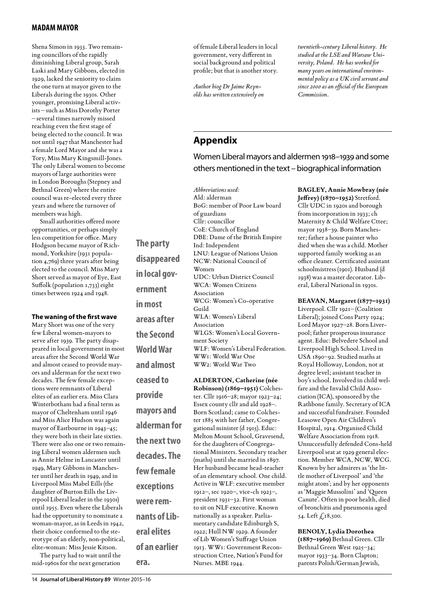Shena Simon in 1933. Two remaining councillors of the rapidly diminishing Liberal group, Sarah Laski and Mary Gibbons, elected in 1929, lacked the seniority to claim the one turn at mayor given to the Liberals during the 1930s. Other younger, promising Liberal activists – such as Miss Dorothy Porter – several times narrowly missed reaching even the first stage of being elected to the council. It was not until 1947 that Manchester had a female Lord Mayor and she was a Tory, Miss Mary Kingsmill-Jones. The only Liberal women to become mayors of large authorities were in London Boroughs (Stepney and Bethnal Green) where the entire council was re-elected every three years and where the turnover of members was high.

Small authorities offered more opportunities, or perhaps simply less competition for office. Mary Hodgson became mayor of Richmond, Yorkshire (1931 population 4,769) three years after being elected to the council. Miss Mary Short served as mayor of Eye, East Suffolk (population 1,733) eight times between 1924 and 1948.

### **The waning of the first wave**

Mary Short was one of the very few Liberal women-mayors to serve after 1939. The party disappeared in local government in most areas after the Second World War and almost ceased to provide mayors and alderman for the next two decades. The few female exceptions were remnants of Liberal elites of an earlier era. Miss Clara Winterbotham had a final term as mayor of Cheltenham until 1946 and Miss Alice Hudson was again mayor of Eastbourne in 1943–45; they were both in their late sixties. There were also one or two remaining Liberal women aldermen such as Annie Helme in Lancaster until 1949, Mary Gibbons in Manchester until her death in 1949, and in Liverpool Miss Mabel Eills (the daughter of Burton Eills the Liverpool Liberal leader in the 1930s) until 1955. Even where the Liberals had the opportunity to nominate a woman-mayor, as in Leeds in 1942, their choice conformed to the stereotype of an elderly, non-political, elite-woman: Miss Jessie Kitson.

**alderman for** 

**the next two** 

**decades. The** 

**few female** 

**exceptions** 

**were rem-**

**eral elites** 

**era.**

**nants of Lib-**

**of an earlier** 

The party had to wait until the mid-1960s for the next generation

of female Liberal leaders in local government, very different in social background and political profile; but that is another story.

*Author biog Dr Jaime Reynolds has written extensively on*  *twentieth-century Liberal history. He studied at the LSE and Warsaw University, Poland. He has worked for many years on international environmental policy as a UK civil servant and since 2000 as an official of the European Commission.*

### **Appendix**

Women Liberal mayors and aldermen 1918–1939 and some others mentioned in the text – biographical information

*Abbreviations used:* Ald: alderman BoG: member of Poor Law board of guardians Cllr: councillor CoE: Church of England DBE: Dame of the British Empire Ind: Independent LNU: League of Nations Union NCW: National Council of Women UDC: Urban District Council WCA: Women Citizens Association WCG: Women's Co-operative Guild WLA: Women's Liberal Association WLGS: Women's Local Government Society WLF: Women's Liberal Federation. WW1: World War One WW2: World War Two **ALDERTON, Catherine (née Robinson) (1869–1951)** Colchester. Cllr 1916–28; mayor 1923–24; Essex county cllr and ald 1928–. **The party disappeared in local government in most areas after the Second World War and almost ceased to provide mayors and** 

Born Scotland; came to Colchester 1885 with her father, Congregational minister (d 1915). Educ: Melton Mount School, Gravesend, for the daughters of Congregational Ministers. Secondary teacher (maths) until she married in 1897. Her husband became head-teacher of an elementary school. One child. Active in WLF: executive member 1912–, sec 1920–, vice-ch 1923–, president 1931–32. First woman to sit on NLF executive. Known nationally as a speaker. Parliamentary candidate Edinburgh S, 1922; Hull NW 1929. A founder of Lib Women's Suffrage Union 1913. WW1: Government Reconstruction Cttee, Nation's Fund for Nurses. MBE 1944.

**BAGLEY, Annie Mowbray (née Jeffrey) (1870–1952)** Stretford. Cllr UDC in 1920s and borough from incorporation in 1933; ch Maternity & Child Welfare Cttee; mayor 1938–39. Born Manchester; father a house painter who died when she was a child. Mother supported family working as an office cleaner. Certificated assistant schoolmistress (1901). Husband (d 1938) was a master decorator. Liberal, Liberal National in 1930s.

**BEAVAN, Margaret (1877–1931)**  Liverpool. Cllr 1921– (Coalition Liberal); joined Cons Party 1924; Lord Mayor 1927–28. Born Liverpool; father prosperous insurance agent. Educ: Belvedere School and Liverpool High School. Lived in USA 1890–92. Studied maths at Royal Holloway, London, not at degree level; assistant teacher in boy's school. Involved in child welfare and the Invalid Child Association (ICA), sponsored by the Rathbone family. Secretary of ICA and successful fundraiser. Founded Leasowe Open Air Children's Hospital, 1914. Organised Child Welfare Association from 1918. Unsuccessfully defended Cons-held Liverpool seat at 1929 general election. Member WCA, NCW, WCG. Known by her admirers as 'the little mother of Liverpool' and 'the might atom'; and by her opponents as 'Maggie Mussolini' and 'Queen Canute'. Often in poor health, died of bronchitis and pneumonia aged 54. Left  $\int_{0}^{8} 18,500$ .

**BENOLY, Lydia Dorothea (1887–1969)** Bethnal Green. Cllr Bethnal Green West 1925–34; mayor 1933–34. Born Clapton; parents Polish/German Jewish,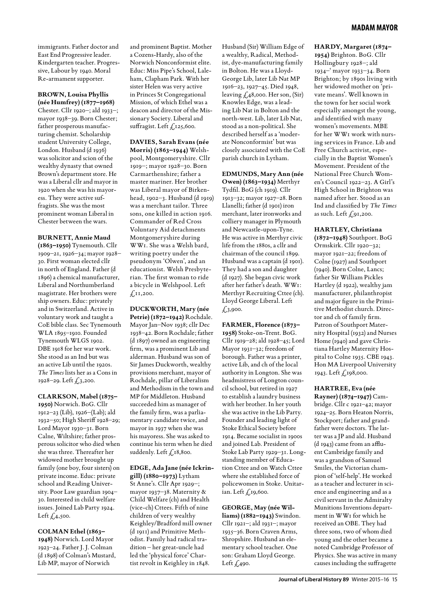immigrants. Father doctor and East End Progressive leader. Kindergarten teacher. Progressive, Labour by 1940. Moral Re-armament supporter.

### **BROWN, Louisa Phyllis (née Humfrey) (1877–1968)**

Chester. Cllr 1920–; ald 1933–; mayor 1938–39. Born Chester; father prosperous manufacturing chemist. Scholarship student University College, London. Husband (d 1936) was solicitor and scion of the wealthy dynasty that owned Brown's department store. He was a Liberal cllr and mayor in 1920 when she was his mayoress. They were active suffragists. She was the most prominent woman Liberal in Chester between the wars.

### **BURNETT, Annie Maud**

**(1863–1950)** Tynemouth. Cllr 1909–21, 1926–34; mayor 1928– 30. First woman elected cllr in north of England. Father (d 1896) a chemical manufacturer, Liberal and Northumberland magistrate. Her brothers were ship owners. Educ: privately and in Switzerland. Active in voluntary work and taught a CoE bible class. Sec Tynemouth WLA 1895–1910. Founded Tynemouth WLGS 1902. DBE 1918 for her war work. She stood as an Ind but was an active Lib until the 1920s. *The Times* lists her as a Cons in 1928–29. Left  $\int_{0}^{3}$ , 200.

### **CLARKSON, Mabel (1875–**

**1950)** Norwich. BoG. Cllr 1912–23 (Lib), 1926–(Lab); ald 1932–50; High Sheriff 1928–29; Lord Mayor 1930–31. Born Calne, Wiltshire; father prosperous solicitor who died when she was three. Thereafter her widowed mother brought up family (one boy, four sisters) on private income. Educ: private school and Reading University. Poor Law guardian 1904– 30. Interested in child welfare issues. Joined Lab Party 1924. Left  $\zeta$ , 4, 500.

### **COLMAN Ethel (1863–**

**1948)** Norwich. Lord Mayor 1923–24. Father J. J. Colman (d 1898) of Colman's Mustard, Lib MP, mayor of Norwich

and prominent Baptist. Mother a Cozens-Hardy, also of the Norwich Nonconformist elite. Educ: Miss Pipe's School, Laleham, Clapham Park. With her sister Helen was very active in Princes St Congregational Mission, of which Ethel was a deacon and director of the Missionary Society. Liberal and suffragist. Left  $f_{.125,600}$ .

### **DAVIES, Sarah Evans (née**

**Morris) (1863–1944)** Welshpool, Montgomeryshire. Cllr 1919–; mayor 1928–30. Born Carmarthenshire; father a master mariner. Her brother was Liberal mayor of Birkenhead, 1902–3. Husband (d 1919) was a merchant tailor. Three sons, one killed in action 1916. Commander of Red Cross Voluntary Aid detachments Montgomeryshire during WW1. She was a Welsh bard, writing poetry under the pseudonym 'Olwen', and an educationist. Welsh Presbyterian. The first woman to ride a bicycle in Welshpool. Left  $f_{11,200}$ .

### **DUCKWORTH, Mary (née Petrie) (1872–1942)** Rochdale. Mayor Jan–Nov 1938; cllr Dec 1938–42. Born Rochdale; father (d 1897) owned an engineering firm, was a prominent Lib and alderman. Husband was son of Sir James Duckworth, wealthy provisions merchant, mayor of Rochdale, pillar of Liberalism and Methodism in the town and MP for Middleton. Husband succeeded him as manager of the family firm, was a parliamentary candidate twice, and mayor in 1937 when she was his mayoress. She was asked to continue his term when he died

### **EDGE, Ada Jane (née Ickrin-**

suddenly. Left  $\int$ <sub>18</sub>,800.

**gill) (1880–1973)** Lytham St Anne's. Cllr Apr 1929–; mayor 1937–38. Maternity & Child Welfare (ch) and Health (vice-ch) Cttees. Fifth of nine children of very wealthy Keighley/Bradford mill owner (d 1911) and Primitive Methodist. Family had radical tradition – her great-uncle had led the 'physical force' Chartist revolt in Keighley in 1848.

Husband (Sir) William Edge of a wealthy, Radical, Methodist, dye-manufacturing family in Bolton. He was a Lloyd-George Lib, later Lib Nat MP 1916–23, 1927–45. Died 1948, leaving  $\zeta$ ,48,000. Her son, (Sir) Knowles Edge, was a leading Lib Nat in Bolton and the north-west. Lib, later Lib Nat, stood as a non-political. She described herself as a 'moderate Nonconformist' but was closely associated with the CoE parish church in Lytham.

### **EDMUNDS, Mary Ann (née**

**Owen) (1863–1934)** Merthyr Tydfil. BoG (ch 1919). Cllr 1913–32; mayor 1927–28. Born Llanelli; father (d 1901) iron merchant, later ironworks and colliery manager in Plymouth and Newcastle-upon-Tyne. He was active in Merthyr civic life from the 1880s, a cllr and chairman of the council 1899. Husband was a captain (d 1901). They had a son and daughter (d 1927). She began civic work after her father's death. WW1: Merthyr Recruiting Cttee (ch). Lloyd George Liberal. Left  $£3,900.$ 

### **FARMER, Florence (1873– 1958)** Stoke-on-Trent. BoG. Cllr 1919–28; ald 1928–45; Lord Mayor 1931–32; freedom of borough. Father was a printer, active Lib, and ch of the local authority in Longton. She was headmistress of Longton council school, but retired in 1927 to establish a laundry business with her brother. In her youth she was active in the Lib Party. Founder and leading light of Stoke Ethical Society before 1914. Became socialist in 1900s and joined Lab. President of Stoke Lab Party 1929–31. Longstanding member of Education Cttee and on Watch Cttee where she established force of policewomen in Stoke. Unitar-

### **GEORGE, May (née Wil-**

ian. Left  $\int_{\mathcal{L}}$ 19,600.

**liams) (1882–1943)** Swindon. Cllr 1921–; ald 1931–; mayor 1935–36. Born Craven Arms, Shropshire. Husband an elementary school teacher. One son: Graham Lloyd George. Left  $\sqrt{2}$ ,490.

**HARDY, Margaret (1874– 1954)** Brighton. BoG. Cllr Hollingbury 1928–; ald 1934–' mayor 1933–34. Born Brighton; by 1890s living with her widowed mother on 'private means'. Well known in the town for her social work especially amongst the young, and identified with many women's movements. MBE for her WW1 work with nursing services in France. Lib and Free Church activist, especially in the Baptist Women's Movement. President of the National Free Church Women's Council 1922–23. A Girl's High School in Brighton was named after her. Stood as an Ind and classified by *The Times* as such. Left  $f_{.91,200}$ .

### **HARTLEY, Christiana (1872–1948)** Southport. BoG

Ormskirk. Cllr 1920–32; mayor 1921–22; freedom of Colne (1927) and Southport (1940). Born Colne, Lancs; father Sir William Pickles Hartley (d 1922), wealthy jam manufacturer, philanthropist and major figure in the Primitive Methodist church. Director and ch of family firm. Patron of Southport Maternity Hospital (1932) and Nurses Home (1940) and gave Christiana Hartley Maternity Hospital to Colne 1935. CBE 1943. Hon MA Liverpool University 1943. Left £198,000.

**HARTREE, Eva (née Rayner) (1874–1947)** Cambridge. Cllr c 1921–42; mayor 1924–25. Born Heaton Norris, Stockport; father and grandfather were doctors. The latter was a JP and ald. Husband (d 1943) came from an affluent Cambridge family and was a grandson of Samuel Smiles, the Victorian champion of 'self-help'. He worked as a teacher and lecturer in science and engineering and as a civil servant in the Admiralty Munitions Inventions department in WW1 for which he received an OBE. They had three sons, two of whom died young and the other became a noted Cambridge Professor of Physics. She was active in many causes including the suffragette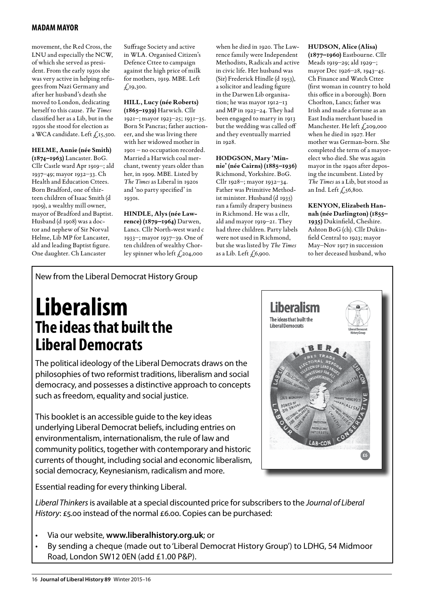movement, the Red Cross, the LNU and especially the NCW, of which she served as president. From the early 1930s she was very active in helping refugees from Nazi Germany and after her husband's death she moved to London, dedicating herself to this cause. *The Times*  classified her as a Lib, but in the 1930s she stood for election as a WCA candidate. Left  $f_{15,500}$ .

### **HELME, Annie (née Smith)**

**(1874–1963)** Lancaster. BoG. Cllr Castle ward Apr 1919–; ald 1937–49; mayor 1932–33. Ch Health and Education Cttees. Born Bradford, one of thirteen children of Isaac Smith (d 1909), a wealthy mill owner, mayor of Bradford and Baptist. Husband (d 1908) was a doctor and nephew of Sir Norval Helme, Lib MP for Lancaster, ald and leading Baptist figure. One daughter. Ch Lancaster

Suffrage Society and active in WLA. Organised Citizen's Defence Cttee to campaign against the high price of milk for mothers, 1919. MBE. Left  $f_{.19,300.}$ 

### **HILL, Lucy (née Roberts)**

**(1865–1939)** Harwich. Cllr 1921–; mayor 1923–25; 1931–35. Born St Pancras; father auctioneer, and she was living there with her widowed mother in 1901 – no occupation recorded. Married a Harwich coal merchant, twenty years older than her, in 1909. MBE. Listed by *The Times* as Liberal in 1920s and 'no party specified' in 1930s.

**HINDLE, Alys (née Lawrence) (1879–1964)** Darwen, Lancs. Cllr North-west ward c 1933–; mayor 1937–39. One of ten children of wealthy Chorley spinner who left  $f_{204,000}$ 

when he died in 1920. The Lawrence family were Independent Methodists, Radicals and active in civic life. Her husband was (Sir) Frederick Hindle (d 1953), a solicitor and leading figure in the Darwen Lib organisation; he was mayor 1912–13 and MP in 1923–24. They had been engaged to marry in 1913 but the wedding was called off and they eventually married in 1928.

### **HODGSON, Mary 'Minnie' (née Cairns) (1885–1936)**  Richmond, Yorkshire. BoG. Cllr 1928–; mayor 1932–34. Father was Primitive Methodist minister. Husband (d 1935) ran a family drapery business in Richmond. He was a cllr, ald and mayor 1919–21. They had three children. Party labels were not used in Richmond, but she was listed by *The Times*

as a Lib. Left  $f$  6,900.

**HUDSON, Alice (Alisa) (1877–1960)** Eastbourne. Cllr Meads 1919–29; ald 1929–; mayor Dec 1926–28, 1943–45. Ch Finance and Watch Cttee (first woman in country to hold this office in a borough). Born Chorlton, Lancs; father was Irish and made a fortune as an East India merchant based in Manchester. He left £,209,000 when he died in 1927. Her mother was German-born. She completed the term of a mayorelect who died. She was again mayor in the 1940s after deposing the incumbent. Listed by *The Times* as a Lib, but stood as an Ind. Left  $f,56,800$ .

**KENYON, Elizabeth Hannah (née Darlington) (1855– 1935)** Dukinfield, Cheshire. Ashton BoG (ch). Cllr Dukinfield Central to 1923; mayor May–Nov 1917 in succession to her deceased husband, who

### New from the Liberal Democrat History Group

### **Liberalism The ideas that built the Liberal Democrats**

The political ideology of the Liberal Democrats draws on the philosophies of two reformist traditions, liberalism and social democracy, and possesses a distinctive approach to concepts such as freedom, equality and social justice.

This booklet is an accessible guide to the key ideas underlying Liberal Democrat beliefs, including entries on environmentalism, internationalism, the rule of law and community politics, together with contemporary and historic currents of thought, including social and economic liberalism, social democracy, Keynesianism, radicalism and more.

Essential reading for every thinking Liberal.



*Liberal Thinkers* is available at a special discounted price for subscribers to the *Journal of Liberal History*: £5.00 instead of the normal £6.00. Copies can be purchased:

- Via our website, www.liberalhistory.org.uk; or
- By sending a cheque (made out to 'Liberal Democrat History Group') to LDHG, 54 Midmoor Road, London SW12 0EN (add £1.00 P&P).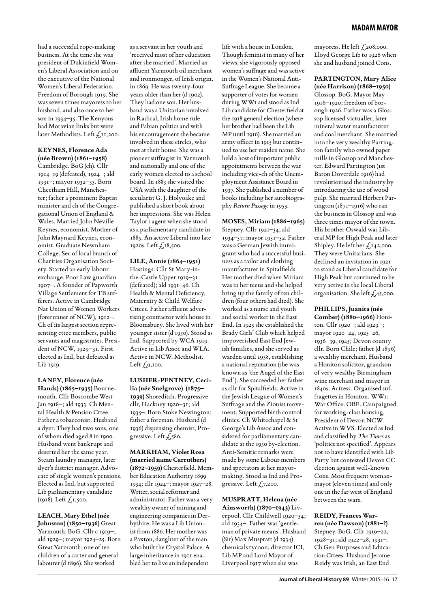had a successful rope-making business. At the time she was president of Dukinfield Women's Liberal Association and on the executive of the National Women's Liberal Federation. Freedom of Borough 1919. She was seven times mayoress to her husband, and also once to her son in 1934–35. The Kenyons had Moravian links but were later Methodists. Left  $\int$ , 11,200.

### **KEYNES, Florence Ada**

**(née Brown) (1861–1958)**  Cambridge. BoG (ch). Cllr 1914–19 (defeated), 1924–; ald 1931–; mayor 1932–33. Born Cheetham Hill, Manchester; father a prominent Baptist minister and ch of the Congregational Union of England & Wales. Married John Neville Keynes, economist. Mother of John Maynard Keynes, economist. Graduate Newnham College. Sec of local branch of Charities Organisation Society. Started an early labour exchange. Poor Law guardian 1907–. A founder of Papworth Village Settlement for TB sufferers. Active in Cambridge Nat Union of Women Workers (forerunner of NCW), 1912–. Ch of its largest section representing cttee members, public servants and magistrates. President of NCW, 1929–31. First elected as Ind, but defeated as Lib 1919.

### **LANEY, Florence (née**

**Hands) (1865–1935)** Bournemouth. Cllr Boscombe West Jan 1918–; ald 1933. Ch Mental Health & Pension Cttee. Father a tobacconist. Husband a dyer. They had two sons, one of whom died aged 8 in 1900. Husband went bankrupt and deserted her the same year. Steam laundry manager, later dyer's district manager. Advocate of single women's pensions. Elected as Ind, but supported Lib parliamentary candidate (1918). Left £1,500.

### **LEACH, Mary Ethel (née**

**Johnston) (1850–1936)** Great Yarmouth. BoG. Cllr c 1919–; ald 1929–; mayor 1924–25. Born Great Yarmouth; one of ten children of a carter and general labourer (d 1896). She worked

as a servant in her youth and 'received most of her education after she married'. Married an affluent Yarmouth oil merchant and ironmonger, of Irish origin, in 1869. He was twenty-four years older than her (d 1902). They had one son. Her husband was a Unitarian involved in Radical, Irish home rule and Fabian politics and with his encouragement she became involved in these circles, who met at their house. She was a pioneer suffragist in Yarmouth and nationally and one of the early women elected to a school board. In 1883 she visited the USA with the daughter of the secularist G. J. Holyoake and published a short book about her impressions. She was Helen Taylor's agent when she stood as a parliamentary candidate in 1885. An active Liberal into late 1920s. Left  $f_{.18,500}$ .

### **LILE, Annie (1864–1951)**

Hastings. Cllr St Mary-inthe-Castle Upper 1919–31 (defeated); ald 1931–46. Ch Health & Mental Deficiency, Maternity & Child Welfare Cttees. Father affluent advertising contractor with house in Bloomsbury. She lived with her younger sister (d 1930). Stood as Ind. Supported by WCA 1919. Active in Lib Assoc and WLA. Active in NCW. Methodist. Left  $f_{.9,100}$ .

### **LUSHER-PENTNEY, Ceci-**

**lia (née Snelgrove) (1875– 1939)** Shoreditch. Progressive cllr, Hackney 1920–31; ald 1935–. Born Stoke Newington; father a foreman. Husband (d 1936) dispensing chemist, Progressive. Left £580.

### **MARKHAM, Violet Rosa (married name Carruthers)**

**(1872–1959)** Chesterfield. Member Education Authority 1899– 1934; cllr 1924–; mayor 1927–28. Writer, social reformer and administrator. Father was a very wealthy owner of mining and engineering companies in Derbyshire. He was a Lib Unionist from 1886. Her mother was a Paxton, daughter of the man who built the Crystal Palace. A large inheritance in 1901 enabled her to live an independent

life with a house in London. Though feminist in many of her views, she vigorously opposed women's suffrage and was active in the Women's National Anti-Suffrage League. She became a supporter of votes for women during WW1 and stood as Ind Lib candidate for Chesterfield at the 1918 general election (where her brother had been the Lib MP until 1916). She married an army officer in 1915 but continued to use her maiden name. She held a host of important public appointments between the war including vice-ch of the Unemployment Assistance Board in 1937. She published a number of books including her autobiography *Return Passage* in 1953.

### **MOSES, Miriam (1886–1965)**  Stepney. Cllr 1921–34; ald

1934–37; mayor 1931–32. Father was a German Jewish immigrant who had a successful business as a tailor and clothing manufacturer in Spitalfields. Her mother died when Miriam was in her teens and she helped bring up the family of ten children (four others had died). She worked as a nurse and youth and social worker in the East End. In 1925 she established the Brady Girls' Club which helped impoverished East End Jewish families, and she served as warden until 1958, establishing a national reputation (she was known as 'the Angel of the East End'). She succeeded her father as cllr for Spitalfields. Active in the Jewish League of Women's Suffrage and the Zionist movement. Supported birth control clinics. Ch Whitechapel & St George's Lib Assoc and considered for parliamentary candidate at the 1930 by-election. Anti-Semitic remarks were made by some Labour members and spectators at her mayormaking. Stood as Ind and Progressive. Left  $f_{7,200}$ .

### **MUSPRATT, Helena (née Ainsworth) (1870–1943)** Liv-

erpool. Cllr Childwell 1920–34; ald 1934–. Father was 'gentleman of private means'. Husband (Sir) Max Muspratt (d 1934) chemicals tycoon, director ICI, Lib MP and Lord Mayor of Liverpool 1917 when she was

mayoress. He left  $f_{.208,000}$ . Lloyd George Lib to 1926 when she and husband joined Cons.

### **PARTINGTON, Mary Alice**

**(née Harrison) (1868–1950)**  Glossop. BoG. Mayor May 1916–1920; freedom of borough 1926. Father was a Glossop licensed victualler, later mineral water manufacturer and coal merchant. She married into the very wealthy Partington family who owned paper mills in Glossop and Manchester. Edward Partington (1st Baron Doverdale 1916) had revolutionised the industry by introducing the use of wood pulp. She married Herbert Partington (1871–1916) who ran the business in Glossop and was three times mayor of the town. His brother Oswald was Liberal MP for High Peak and later Shipley. He left her £142,000. They were Unitarians. She declined an invitation in 1921 to stand as Liberal candidate for High Peak but continued to be very active in the local Liberal organisation. She left  $\zeta$ ,45,000.

### **PHILLIPS, Juanita (née Comber) (1880–1966)** Honi-

ton. Cllr 1920–; ald 1929–; mayor 1920–24, 1925–26, 1936–39, 1945; Devon county cllr. Born Chile; father (d 1896) a wealthy merchant. Husband a Honiton solicitor, grandson of very wealthy Birmingham wine merchant and mayor in 1840s. Actress. Organised suffragettes in Honiton. WW1: War Office. OBE. Campaigned for working-class housing. President of Devon NCW. Active in WVS. Elected as Ind and classified by *The Times* as 'politics not specified'. Appears not to have identified with Lib Party but contested Devon CC election against well-known Cons. Most frequent womanmayor (eleven times) and only one in the far west of England between the wars.

### **REIDY, Frances Warren (née Dawson) (1881–?)**  Stepney. BoG. Cllr 1919–22, 1928–31; ald 1922–28, 1931–. Ch Gen Purposes and Education Cttees. Husband Jerome

Reidy was Irish, an East End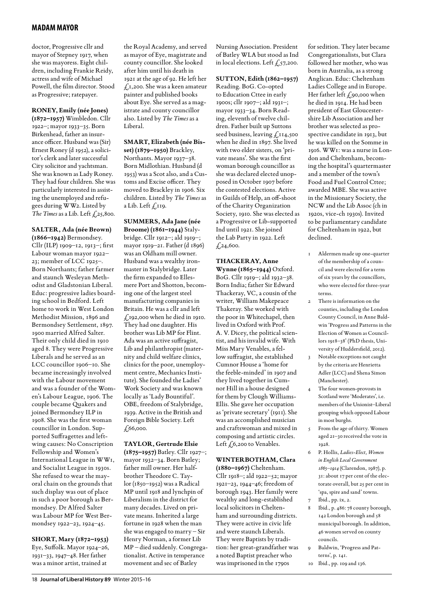doctor, Progressive cllr and mayor of Stepney 1917, when she was mayoress. Eight children, including Frankie Reidy, actress and wife of Michael Powell, the film director. Stood as Progressive; ratepayer.

### **RONEY, Emily (née Jones)**

**(1872–1957)** Wimbledon. Cllr 1922–; mayor 1933–35. Born Birkenhead, father an insurance officer. Husband was (Sir) Ernest Roney (d 1952), a solicitor's clerk and later successful City solicitor and yachtsman. She was known as Lady Roney. They had four children. She was particularly interested in assisting the unemployed and refugees during WW2. Listed by *The Times* as a Lib. Left  $\zeta$ <sub>25</sub>,800.

### **SALTER, Ada (née Brown)**

**(1866–1942)** Bermondsey. Cllr (ILP) 1909–12, 1913–; first Labour woman mayor 1922– 23; member of LCC 1925–. Born Northants; father farmer and staunch Wesleyan Methodist and Gladstonian Liberal. Educ: progressive ladies boarding school in Bedford. Left home to work in West London Methodist Mission, 1896 and Bermondsey Settlement, 1897. 1900 married Alfred Salter. Their only child died in 1910 aged 8. They were Progressive Liberals and he served as an LCC councillor 1906–10. She became increasingly involved with the Labour movement and was a founder of the Women's Labour League, 1906. The couple became Quakers and joined Bermondsey ILP in 1908. She was the first woman councillor in London. Supported Suffragettes and leftwing causes: No Conscription Fellowship and Women's International League in WW1, and Socialist League in 1930s. She refused to wear the mayoral chain on the grounds that such display was out of place in such a poor borough as Bermondsey. Dr Alfred Salter was Labour MP for West Bermondsey 1922–23, 1924–45.

### **SHORT, Mary (1872–1953)**

Eye, Suffolk. Mayor 1924–26, 1931–33, 1947–48. Her father was a minor artist, trained at

the Royal Academy, and served as mayor of Eye, magistrate and county councillor. She looked after him until his death in 1921 at the age of 92. He left her  $f_{1}$ , 200. She was a keen amateur painter and published books about Eye. She served as a magistrate and county councillor also. Listed by *The Times* as a Liberal.

### **SMART, Elizabeth (née Bisset) (1879–1950)** Brackley,

Northants. Mayor 1937–38. Born Midlothian. Husband (d 1953) was a Scot also, and a Customs and Excise officer. They moved to Brackley in 1906. Six children. Listed by *The Times* as a Lib. Left  $f$ , 119.

**SUMMERS, Ada Jane (née Broome) (1861–1944)** Stalybridge. Cllr 1912–; ald 1919–; mayor 1919–21. Father (d 1896) was an Oldham mill owner. Husband was a wealthy ironmaster in Stalybridge. Later the firm expanded to Ellesmere Port and Shotton, becoming one of the largest steel manufacturing companies in Britain. He was a cllr and left  $£192,000$  when he died in 1910. They had one daughter. His brother was Lib MP for Flint. Ada was an active suffragist, Lib and philanthropist (maternity and child welfare clinics, clinics for the poor, unemployment centre, Mechanics Institute). She founded the Ladies' Work Society and was known locally as 'Lady Bountiful'. OBE, freedom of Stalybridge, 1939. Active in the British and Foreign Bible Society. Left  $£,66,000.$ 

### **TAYLOR, Gertrude Elsie**

**(1875–1957)** Batley. Cllr 1927–; mayor 1932–34. Born Batley; father mill owner. Her halfbrother Theodore C. Taylor (1850–1952) was a Radical MP until 1918 and lynchpin of Liberalism in the district for many decades. Lived on private means. Inherited a large fortune in 1928 when the man she was engaged to marry – Sir Henry Norman, a former Lib MP – died suddenly. Congregationalist. Active in temperance movement and sec of Batley

Nursing Association. President of Batley WLA but stood as Ind in local elections. Left  $\zeta$ , 57, 200.

### **SUTTON, Edith (1862–1957)**

Reading. BoG. Co-opted to Education Cttee in early 1900s; cllr 1907–; ald 1931–; mayor 1933–34. Born Reading, eleventh of twelve children. Father built up Suttons seed business, leaving £114,500 when he died in 1897. She lived with two elder sisters, on 'private means'. She was the first woman borough councillor as she was declared elected unopposed in October 1907 before the contested elections. Active in Guilds of Help, an off-shoot of the Charity Organization Society, 1910. She was elected as a Progressive or Lib-supported Ind until 1921. She joined the Lab Party in 1922. Left  $£24,600.$ 

### **THACKERAY, Anne**

**Wynne (1865–1944)** Oxford. BoG. Cllr 1919–; ald 1932–38. Born India; father Sir Edward Thackeray, VC, a cousin of the writer, William Makepeace Thakeray. She worked with the poor in Whitechapel, then lived in Oxford with Prof. A. V. Dicey, the political scientist, and his invalid wife. With Miss Mary Venables, a fellow suffragist, she established Cumnor House a 'home for the feeble-minded' in 1907 and they lived together in Cumnor Hill in a house designed for them by Clough Williams-Ellis. She gave her occupation as 'private secretary' (1911). She was an accomplished musician and craftswoman and mixed in composing and artistic circles. Left  $\zeta$ 6,200 to Venables.

### **WINTERBOTHAM, Clara**

**(1880–1967)** Cheltenham. Cllr 1918–; ald 1922–52; mayor 1921–23, 1944–46; freedom of borough 1943. Her family were wealthy and long-established local solicitors in Cheltenham and surrounding districts. They were active in civic life and were staunch Liberals. They were Baptists by tradition: her great-grandfather was a noted Baptist preacher who was imprisoned in the 1790s

for sedition. They later became Congregationalists, but Clara followed her mother, who was born in Australia, as a strong Anglican. Educ: Cheltenham Ladies College and in Europe. Her father left  $\zeta$ 90,000 when he died in 1914. He had been president of East Gloucestershire Lib Association and her brother was selected as prospective candidate in 1913, but he was killed on the Somme in 1916. WW1: was a nurse in London and Cheltenham, becoming the hospital's quartermaster and a member of the town's Food and Fuel Control Cttee; awarded MBE. She was active in the Missionary Society, the NCW and the Lib Assoc (ch in 1920s, vice-ch 1930s). Invited to be parliamentary candidate for Cheltenham in 1922, but declined.

- 1 Aldermen made up one-quarter of the membership of a council and were elected for a term of six years by the councillors, who were elected for three-year terms.
- 2 There is information on the counties, including the London County Council, in Anne Baldwin 'Progress and Patterns in the Election of Women as Councillors 1918–38' (PhD thesis, University of Huddersfield, 2012).
- 3 Notable exceptions not caught by the criteria are Henrietta Adler (LCC) and Shena Simon (Manchester).
- The four women-provosts in Scotland were 'Moderates', i.e. members of the Unionist–Liberal grouping which opposed Labour in most burghs.
- 5 From the age of thirty. Women aged 21–30 received the vote in 1928.
- 6 P. Hollis, *Ladies-Elect, Women in English Local Government 1865–1914* (Clarendon, 1987), p. 31: about 17 per cent of the electorate overall, but 25 per cent in 'spa, spire and sand' towns. Ibid., pp. ix, 2.
- 8 Ibid., p. 486: 78 county borough, 142 London borough and 58 municipal borough. In addition, 46 women served on county councils.
- 9 Baldwin, 'Progress and Patterns', p. 141.
- 10 Ibid., pp. 109 and 136.